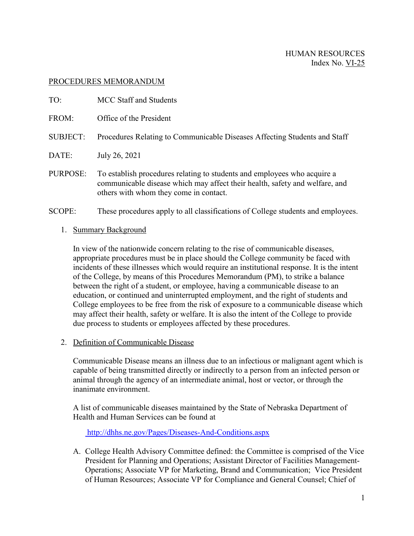## PROCEDURES MEMORANDUM

| TO:             | MCC Staff and Students                                                                                                                                                                            |
|-----------------|---------------------------------------------------------------------------------------------------------------------------------------------------------------------------------------------------|
| FROM:           | Office of the President                                                                                                                                                                           |
| <b>SUBJECT:</b> | Procedures Relating to Communicable Diseases Affecting Students and Staff                                                                                                                         |
| DATE:           | July 26, 2021                                                                                                                                                                                     |
| PURPOSE:        | To establish procedures relating to students and employees who acquire a<br>communicable disease which may affect their health, safety and welfare, and<br>others with whom they come in contact. |

## SCOPE: These procedures apply to all classifications of College students and employees.

## 1. Summary Background

In view of the nationwide concern relating to the rise of communicable diseases, appropriate procedures must be in place should the College community be faced with incidents of these illnesses which would require an institutional response. It is the intent of the College, by means of this Procedures Memorandum (PM), to strike a balance between the right of a student, or employee, having a communicable disease to an education, or continued and uninterrupted employment, and the right of students and College employees to be free from the risk of exposure to a communicable disease which may affect their health, safety or welfare. It is also the intent of the College to provide due process to students or employees affected by these procedures.

# 2. Definition of Communicable Disease

Communicable Disease means an illness due to an infectious or malignant agent which is capable of being transmitted directly or indirectly to a person from an infected person or animal through the agency of an intermediate animal, host or vector, or through the inanimate environment.

A list of communicable diseases maintained by the State of Nebraska Department of Health and Human Services can be found at

<http://dhhs.ne.gov/Pages/Diseases-And-Conditions.aspx>

A. College Health Advisory Committee defined: the Committee is comprised of the Vice President for Planning and Operations; Assistant Director of Facilities Management-Operations; Associate VP for Marketing, Brand and Communication; Vice President of Human Resources; Associate VP for Compliance and General Counsel; Chief of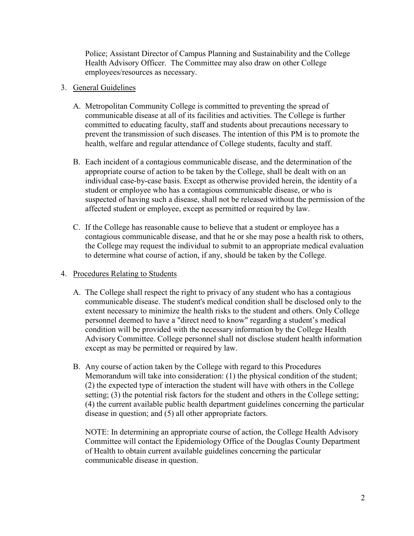Police; Assistant Director of Campus Planning and Sustainability and the College Health Advisory Officer. The Committee may also draw on other College employees/resources as necessary.

## 3. General Guidelines

- A. Metropolitan Community College is committed to preventing the spread of communicable disease at all of its facilities and activities. The College is further committed to educating faculty, staff and students about precautions necessary to prevent the transmission of such diseases. The intention of this PM is to promote the health, welfare and regular attendance of College students, faculty and staff.
- B. Each incident of a contagious communicable disease, and the determination of the appropriate course of action to be taken by the College, shall be dealt with on an individual case-by-case basis. Except as otherwise provided herein, the identity of a student or employee who has a contagious communicable disease, or who is suspected of having such a disease, shall not be released without the permission of the affected student or employee, except as permitted or required by law.
- C. If the College has reasonable cause to believe that a student or employee has a contagious communicable disease, and that he or she may pose a health risk to others, the College may request the individual to submit to an appropriate medical evaluation to determine what course of action, if any, should be taken by the College.

# 4. Procedures Relating to Students

- A. The College shall respect the right to privacy of any student who has a contagious communicable disease. The student's medical condition shall be disclosed only to the extent necessary to minimize the health risks to the student and others. Only College personnel deemed to have a "direct need to know" regarding a student's medical condition will be provided with the necessary information by the College Health Advisory Committee. College personnel shall not disclose student health information except as may be permitted or required by law.
- B. Any course of action taken by the College with regard to this Procedures Memorandum will take into consideration: (1) the physical condition of the student; (2) the expected type of interaction the student will have with others in the College setting; (3) the potential risk factors for the student and others in the College setting; (4) the current available public health department guidelines concerning the particular disease in question; and (5) all other appropriate factors.

NOTE: In determining an appropriate course of action, the College Health Advisory Committee will contact the Epidemiology Office of the Douglas County Department of Health to obtain current available guidelines concerning the particular communicable disease in question.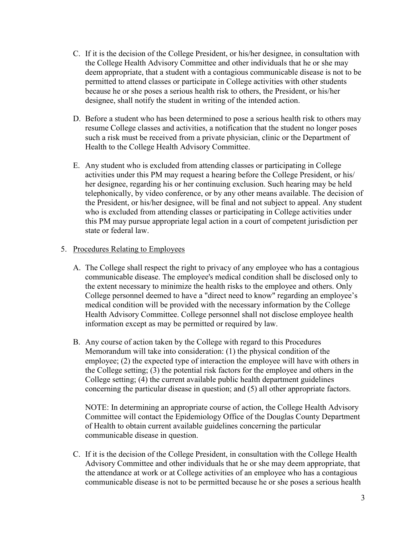- C. If it is the decision of the College President, or his/her designee, in consultation with the College Health Advisory Committee and other individuals that he or she may deem appropriate, that a student with a contagious communicable disease is not to be permitted to attend classes or participate in College activities with other students because he or she poses a serious health risk to others, the President, or his/her designee, shall notify the student in writing of the intended action.
- D. Before a student who has been determined to pose a serious health risk to others may resume College classes and activities, a notification that the student no longer poses such a risk must be received from a private physician, clinic or the Department of Health to the College Health Advisory Committee.
- E. Any student who is excluded from attending classes or participating in College activities under this PM may request a hearing before the College President, or his/ her designee, regarding his or her continuing exclusion. Such hearing may be held telephonically, by video conference, or by any other means available. The decision of the President, or his/her designee, will be final and not subject to appeal. Any student who is excluded from attending classes or participating in College activities under this PM may pursue appropriate legal action in a court of competent jurisdiction per state or federal law.

## 5. Procedures Relating to Employees

- A. The College shall respect the right to privacy of any employee who has a contagious communicable disease. The employee's medical condition shall be disclosed only to the extent necessary to minimize the health risks to the employee and others. Only College personnel deemed to have a "direct need to know" regarding an employee's medical condition will be provided with the necessary information by the College Health Advisory Committee. College personnel shall not disclose employee health information except as may be permitted or required by law.
- B. Any course of action taken by the College with regard to this Procedures Memorandum will take into consideration: (1) the physical condition of the employee; (2) the expected type of interaction the employee will have with others in the College setting; (3) the potential risk factors for the employee and others in the College setting; (4) the current available public health department guidelines concerning the particular disease in question; and (5) all other appropriate factors.

NOTE: In determining an appropriate course of action, the College Health Advisory Committee will contact the Epidemiology Office of the Douglas County Department of Health to obtain current available guidelines concerning the particular communicable disease in question.

C. If it is the decision of the College President, in consultation with the College Health Advisory Committee and other individuals that he or she may deem appropriate, that the attendance at work or at College activities of an employee who has a contagious communicable disease is not to be permitted because he or she poses a serious health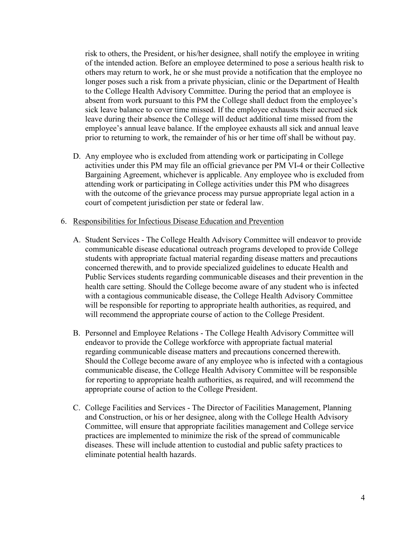risk to others, the President, or his/her designee, shall notify the employee in writing of the intended action. Before an employee determined to pose a serious health risk to others may return to work, he or she must provide a notification that the employee no longer poses such a risk from a private physician, clinic or the Department of Health to the College Health Advisory Committee. During the period that an employee is absent from work pursuant to this PM the College shall deduct from the employee's sick leave balance to cover time missed. If the employee exhausts their accrued sick leave during their absence the College will deduct additional time missed from the employee's annual leave balance. If the employee exhausts all sick and annual leave prior to returning to work, the remainder of his or her time off shall be without pay.

D. Any employee who is excluded from attending work or participating in College activities under this PM may file an official grievance per PM VI-4 or their Collective Bargaining Agreement, whichever is applicable. Any employee who is excluded from attending work or participating in College activities under this PM who disagrees with the outcome of the grievance process may pursue appropriate legal action in a court of competent jurisdiction per state or federal law.

#### 6. Responsibilities for Infectious Disease Education and Prevention

- A. Student Services The College Health Advisory Committee will endeavor to provide communicable disease educational outreach programs developed to provide College students with appropriate factual material regarding disease matters and precautions concerned therewith, and to provide specialized guidelines to educate Health and Public Services students regarding communicable diseases and their prevention in the health care setting. Should the College become aware of any student who is infected with a contagious communicable disease, the College Health Advisory Committee will be responsible for reporting to appropriate health authorities, as required, and will recommend the appropriate course of action to the College President.
- B. Personnel and Employee Relations The College Health Advisory Committee will endeavor to provide the College workforce with appropriate factual material regarding communicable disease matters and precautions concerned therewith. Should the College become aware of any employee who is infected with a contagious communicable disease, the College Health Advisory Committee will be responsible for reporting to appropriate health authorities, as required, and will recommend the appropriate course of action to the College President.
- C. College Facilities and Services The Director of Facilities Management, Planning and Construction, or his or her designee, along with the College Health Advisory Committee, will ensure that appropriate facilities management and College service practices are implemented to minimize the risk of the spread of communicable diseases. These will include attention to custodial and public safety practices to eliminate potential health hazards.